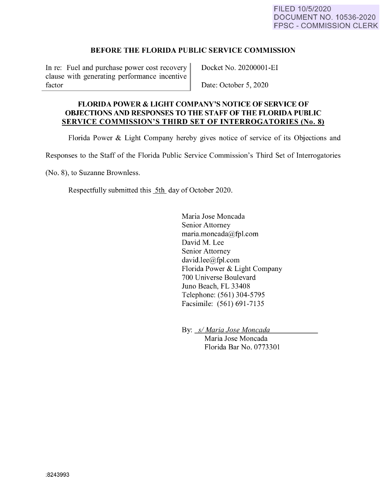## **BEFORE THE FLORIDA PUBLIC SERVICE COMMISSION**

In re: Fuel and purchase power cost recovery clause with generating performance incentive factor

Docket No. 20200001-EI

Date: October 5, 2020

## **FLORIDA POWER** & **LIGHT COMPANY'S NOTICE OF SERVICE OF OBJECTIONS AND RESPONSES TO THE STAFF OF THE FLORIDA PUBLIC SERVICE COMMISSION'S THIRD SET OF INTERROGATORIES (No. 8)**

Florida Power & Light Company hereby gives notice of service of its Objections and

Responses to the Staff of the Florida Public Service Commission's Third Set of Interrogatories

(No. 8), to Suzanne Brownless.

Respectfully submitted this 5th day of October 2020.

Maria Jose Moncada Senior Attorney maria.moncada@fpI.com David M. Lee Senior Attorney david.lee@fpl.com Florida Power & Light Company 700 Universe Boulevard Juno Beach, FL 33408 Telephone: (561) 304-5795 Facsimile: (561) 691-7135

By: *s/ Maria Jose Moncada* 

Maria Jose Moncada Florida Bar No. 0773301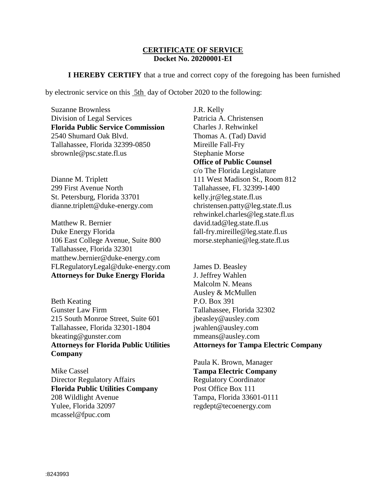## **CERTIFICATE OF SERVICE Docket No. 20200001-EI**

**I HEREBY CERTIFY** that a true and correct copy of the foregoing has been furnished

by electronic service on this 5th day of October 2020 to the following:

Suzanne Brownless Division of Legal Services **Florida Public Service Commission** 2540 Shumard Oak Blvd. Tallahassee, Florida 32399-0850 sbrownle@psc.state.fl.us

Dianne M. Triplett 299 First Avenue North St. Petersburg, Florida 33701 dianne.triplett@duke-energy.com

Matthew R. Bernier Duke Energy Florida 106 East College Avenue, Suite 800 Tallahassee, Florida 32301 matthew.bernier@duke-energy.com FLRegulatoryLegal@duke-energy.com **Attorneys for Duke Energy Florida**

Beth Keating Gunster Law Firm 215 South Monroe Street, Suite 601 Tallahassee, Florida 32301-1804 bkeating@gunster.com **Attorneys for Florida Public Utilities Company**

Mike Cassel Director Regulatory Affairs **Florida Public Utilities Company** 208 Wildlight Avenue Yulee, Florida 32097 mcassel@fpuc.com

J.R. Kelly Patricia A. Christensen Charles J. Rehwinkel Thomas A. (Tad) David Mireille Fall-Fry Stephanie Morse **Office of Public Counsel** c/o The Florida Legislature 111 West Madison St., Room 812 Tallahassee, FL 32399-1400 kelly.jr@leg.state.fl.us christensen.patty@leg.state.fl.us

rehwinkel.charles@leg.state.fl.us david.tad@leg.state.fl.us fall-fry.mireille@leg.state.fl.us morse.stephanie@leg.state.fl.us

James D. Beasley J. Jeffrey Wahlen Malcolm N. Means Ausley & McMullen P.O. Box 391 Tallahassee, Florida 32302 jbeasley@ausley.com jwahlen@ausley.com mmeans@ausley.com **Attorneys for Tampa Electric Company**

Paula K. Brown, Manager **Tampa Electric Company** Regulatory Coordinator Post Office Box 111 Tampa, Florida 33601-0111 regdept@tecoenergy.com